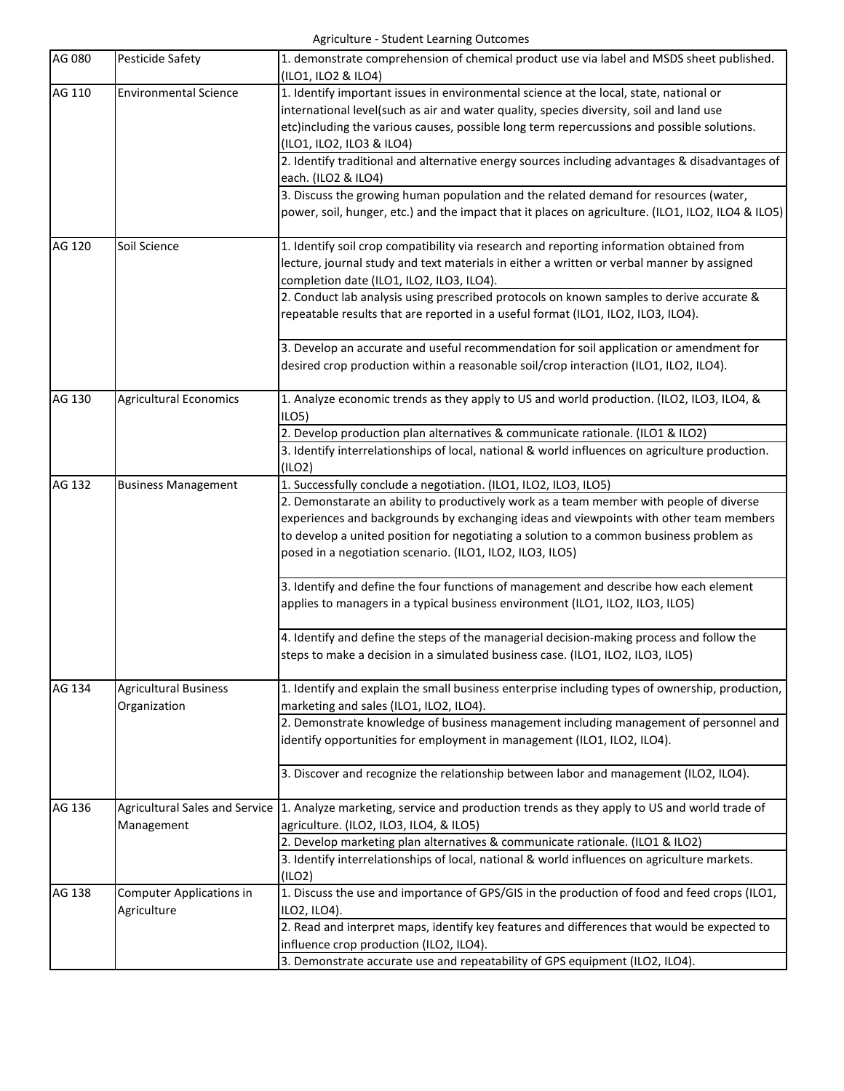Agriculture - Student Learning Outcomes

| AG 080 | Pesticide Safety                               | 1. demonstrate comprehension of chemical product use via label and MSDS sheet published.<br>(ILO1, ILO2 & ILO4)                                                                                                                                                                                                                           |
|--------|------------------------------------------------|-------------------------------------------------------------------------------------------------------------------------------------------------------------------------------------------------------------------------------------------------------------------------------------------------------------------------------------------|
| AG 110 | <b>Environmental Science</b>                   | 1. Identify important issues in environmental science at the local, state, national or<br>international level(such as air and water quality, species diversity, soil and land use<br>etc)including the various causes, possible long term repercussions and possible solutions.<br>(ILO1, ILO2, ILO3 & ILO4)                              |
|        |                                                | 2. Identify traditional and alternative energy sources including advantages & disadvantages of<br>each. (ILO2 & ILO4)                                                                                                                                                                                                                     |
|        |                                                | 3. Discuss the growing human population and the related demand for resources (water,<br>power, soil, hunger, etc.) and the impact that it places on agriculture. (ILO1, ILO2, ILO4 & ILO5)                                                                                                                                                |
| AG 120 | Soil Science                                   | 1. Identify soil crop compatibility via research and reporting information obtained from<br>lecture, journal study and text materials in either a written or verbal manner by assigned<br>completion date (ILO1, ILO2, ILO3, ILO4).                                                                                                       |
|        |                                                | 2. Conduct lab analysis using prescribed protocols on known samples to derive accurate &<br>repeatable results that are reported in a useful format (ILO1, ILO2, ILO3, ILO4).                                                                                                                                                             |
|        |                                                | 3. Develop an accurate and useful recommendation for soil application or amendment for<br>desired crop production within a reasonable soil/crop interaction (ILO1, ILO2, ILO4).                                                                                                                                                           |
| AG 130 | <b>Agricultural Economics</b>                  | 1. Analyze economic trends as they apply to US and world production. (ILO2, ILO3, ILO4, &<br>ILO <sub>5</sub>                                                                                                                                                                                                                             |
|        |                                                | 2. Develop production plan alternatives & communicate rationale. (ILO1 & ILO2)                                                                                                                                                                                                                                                            |
|        |                                                | 3. Identify interrelationships of local, national & world influences on agriculture production.<br>(ILO2)                                                                                                                                                                                                                                 |
| AG 132 | <b>Business Management</b>                     | 1. Successfully conclude a negotiation. (ILO1, ILO2, ILO3, ILO5)                                                                                                                                                                                                                                                                          |
|        |                                                | 2. Demonstarate an ability to productively work as a team member with people of diverse<br>experiences and backgrounds by exchanging ideas and viewpoints with other team members<br>to develop a united position for negotiating a solution to a common business problem as<br>posed in a negotiation scenario. (ILO1, ILO2, ILO3, ILO5) |
|        |                                                | 3. Identify and define the four functions of management and describe how each element<br>applies to managers in a typical business environment (ILO1, ILO2, ILO3, ILO5)                                                                                                                                                                   |
|        |                                                | 4. Identify and define the steps of the managerial decision-making process and follow the<br>steps to make a decision in a simulated business case. (ILO1, ILO2, ILO3, ILO5)                                                                                                                                                              |
| AG 134 | <b>Agricultural Business</b><br>Organization   | 1. Identify and explain the small business enterprise including types of ownership, production,<br>marketing and sales (ILO1, ILO2, ILO4).                                                                                                                                                                                                |
|        |                                                | 2. Demonstrate knowledge of business management including management of personnel and<br>identify opportunities for employment in management (ILO1, ILO2, ILO4).                                                                                                                                                                          |
|        |                                                | 3. Discover and recognize the relationship between labor and management (ILO2, ILO4).                                                                                                                                                                                                                                                     |
| AG 136 | <b>Agricultural Sales and Service</b>          | 1. Analyze marketing, service and production trends as they apply to US and world trade of                                                                                                                                                                                                                                                |
|        | Management                                     | agriculture. (ILO2, ILO3, ILO4, & ILO5)                                                                                                                                                                                                                                                                                                   |
|        |                                                | 2. Develop marketing plan alternatives & communicate rationale. (ILO1 & ILO2)                                                                                                                                                                                                                                                             |
|        |                                                | 3. Identify interrelationships of local, national & world influences on agriculture markets.<br>(ILO2)                                                                                                                                                                                                                                    |
| AG 138 | <b>Computer Applications in</b><br>Agriculture | 1. Discuss the use and importance of GPS/GIS in the production of food and feed crops (ILO1,<br>ILO2, ILO4).                                                                                                                                                                                                                              |
|        |                                                | 2. Read and interpret maps, identify key features and differences that would be expected to<br>influence crop production (ILO2, ILO4).                                                                                                                                                                                                    |
|        |                                                | 3. Demonstrate accurate use and repeatability of GPS equipment (ILO2, ILO4).                                                                                                                                                                                                                                                              |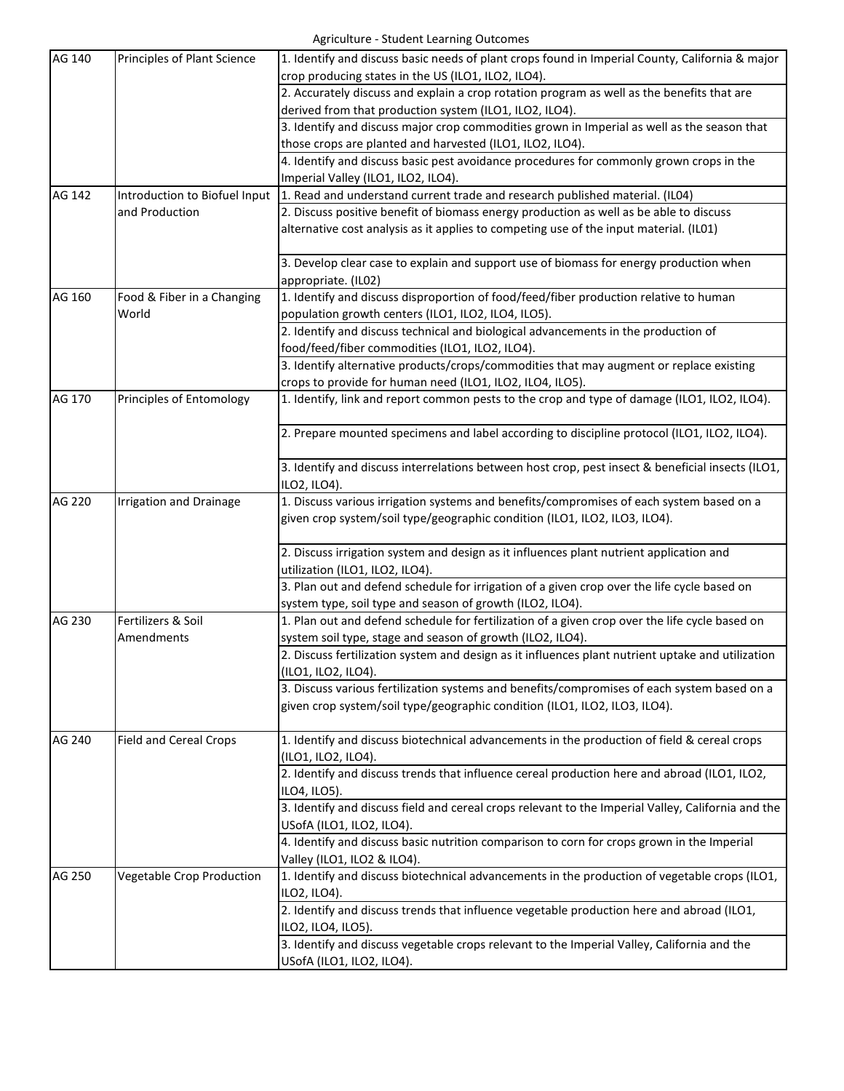| AG 140 | Principles of Plant Science      | 1. Identify and discuss basic needs of plant crops found in Imperial County, California & major<br>crop producing states in the US (ILO1, ILO2, ILO4). |
|--------|----------------------------------|--------------------------------------------------------------------------------------------------------------------------------------------------------|
|        |                                  | 2. Accurately discuss and explain a crop rotation program as well as the benefits that are                                                             |
|        |                                  | derived from that production system (ILO1, ILO2, ILO4).                                                                                                |
|        |                                  | 3. Identify and discuss major crop commodities grown in Imperial as well as the season that                                                            |
|        |                                  | those crops are planted and harvested (ILO1, ILO2, ILO4).                                                                                              |
|        |                                  | 4. Identify and discuss basic pest avoidance procedures for commonly grown crops in the                                                                |
|        |                                  | Imperial Valley (ILO1, ILO2, ILO4).                                                                                                                    |
| AG 142 | Introduction to Biofuel Input    | 1. Read and understand current trade and research published material. (ILO4)                                                                           |
|        | and Production                   | 2. Discuss positive benefit of biomass energy production as well as be able to discuss                                                                 |
|        |                                  | alternative cost analysis as it applies to competing use of the input material. (ILO1)                                                                 |
|        |                                  | 3. Develop clear case to explain and support use of biomass for energy production when                                                                 |
|        |                                  | appropriate. (IL02)                                                                                                                                    |
| AG 160 | Food & Fiber in a Changing       | 1. Identify and discuss disproportion of food/feed/fiber production relative to human                                                                  |
|        | World                            | population growth centers (ILO1, ILO2, ILO4, ILO5).                                                                                                    |
|        |                                  | 2. Identify and discuss technical and biological advancements in the production of                                                                     |
|        |                                  | food/feed/fiber commodities (ILO1, ILO2, ILO4).                                                                                                        |
|        |                                  | 3. Identify alternative products/crops/commodities that may augment or replace existing                                                                |
|        |                                  | crops to provide for human need (ILO1, ILO2, ILO4, ILO5).                                                                                              |
| AG 170 | Principles of Entomology         | 1. Identify, link and report common pests to the crop and type of damage (ILO1, ILO2, ILO4).                                                           |
|        |                                  | 2. Prepare mounted specimens and label according to discipline protocol (ILO1, ILO2, ILO4).                                                            |
|        |                                  | 3. Identify and discuss interrelations between host crop, pest insect & beneficial insects (ILO1,<br>ILO2, ILO4).                                      |
| AG 220 | <b>Irrigation and Drainage</b>   | 1. Discuss various irrigation systems and benefits/compromises of each system based on a                                                               |
|        |                                  | given crop system/soil type/geographic condition (ILO1, ILO2, ILO3, ILO4).                                                                             |
|        |                                  | 2. Discuss irrigation system and design as it influences plant nutrient application and                                                                |
|        |                                  | utilization (ILO1, ILO2, ILO4).                                                                                                                        |
|        |                                  | 3. Plan out and defend schedule for irrigation of a given crop over the life cycle based on                                                            |
|        |                                  | system type, soil type and season of growth (ILO2, ILO4).                                                                                              |
| AG 230 | Fertilizers & Soil               | 1. Plan out and defend schedule for fertilization of a given crop over the life cycle based on                                                         |
|        | Amendments                       | system soil type, stage and season of growth (ILO2, ILO4).                                                                                             |
|        |                                  | 2. Discuss fertilization system and design as it influences plant nutrient uptake and utilization                                                      |
|        |                                  | (ILO1, ILO2, ILO4).                                                                                                                                    |
|        |                                  | 3. Discuss various fertilization systems and benefits/compromises of each system based on a                                                            |
|        |                                  | given crop system/soil type/geographic condition (ILO1, ILO2, ILO3, ILO4).                                                                             |
| AG 240 | <b>Field and Cereal Crops</b>    | 1. Identify and discuss biotechnical advancements in the production of field & cereal crops                                                            |
|        |                                  | (ILO1, ILO2, ILO4).                                                                                                                                    |
|        |                                  | 2. Identify and discuss trends that influence cereal production here and abroad (ILO1, ILO2,                                                           |
|        |                                  | ILO4, ILO5).                                                                                                                                           |
|        |                                  | 3. Identify and discuss field and cereal crops relevant to the Imperial Valley, California and the                                                     |
|        |                                  | USofA (ILO1, ILO2, ILO4).                                                                                                                              |
|        |                                  | 4. Identify and discuss basic nutrition comparison to corn for crops grown in the Imperial                                                             |
|        |                                  | Valley (ILO1, ILO2 & ILO4).                                                                                                                            |
| AG 250 | <b>Vegetable Crop Production</b> | 1. Identify and discuss biotechnical advancements in the production of vegetable crops (ILO1,                                                          |
|        |                                  | ILO2, ILO4).                                                                                                                                           |
|        |                                  | 2. Identify and discuss trends that influence vegetable production here and abroad (ILO1,                                                              |
|        |                                  | ILO2, ILO4, ILO5).                                                                                                                                     |
|        |                                  | 3. Identify and discuss vegetable crops relevant to the Imperial Valley, California and the                                                            |
|        |                                  | USofA (ILO1, ILO2, ILO4).                                                                                                                              |